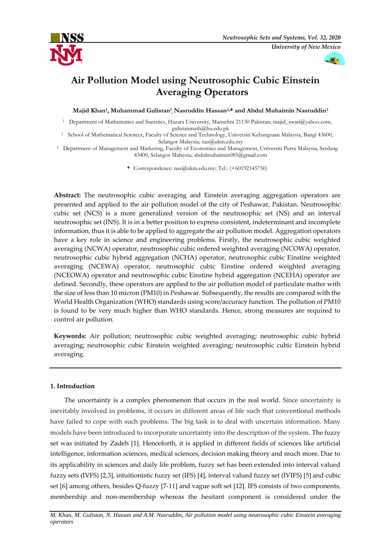



# **Air Pollution Model using Neutrosophic Cubic Einstein Averaging Operators**

**Majid Khan<sup>1</sup> , Muhammad Gulistan<sup>1</sup> , Nasruddin Hassan2,\* and Abdul Muhaimin Nasruddin<sup>3</sup>**

<sup>1</sup> Department of Mathematics and Statistics, Hazara University, Mansehra 21130 Pakistan[; majid\\_swati@yahoo.com,](mailto:majid_swati@yahoo.com)  [gulistanmath@hu.edu.pk](mailto:gulistanmath@hu.edu.pk)

<sup>2</sup> School of Mathematical Sciences, Faculty of Science and Technology, Universiti Kebangsaan Malaysia, Bangi 43600, Selangor Malaysia; [nas@ukm.edu.my](mailto:nas@ukm.edu.my)

<sup>3</sup> Department of Management and Marketing, Faculty of Economics and Management, Universiti Putra Malaysia, Serdang 43400, Selangor Malaysia[; abdulmuhaimin085@gmail.com](mailto:abdulmuhaimin085@gmail.com)

**\*** Correspondence: [nas@ukm.edu.my;](mailto:nas@ukm.edu.my) Tel.: (+60192145750)

**Abstract:** The neutrosophic cubic averaging and Einstein averaging aggregation operators are presented and applied to the air pollution model of the city of Peshawar, Pakistan. Neutrosophic cubic set (NCS) is a more generalized version of the neutrosophic set (NS) and an interval neutrosophic set (INS). It is in a better position to express consistent, indeterminant and incomplete information, thus it is able to be applied to aggregate the air pollution model. Aggregation operators have a key role in science and engineering problems. Firstly, the neutrosophic cubic weighted averaging (NCWA) operator, neutrosophic cubic ordered weighted averaging (NCOWA) operator, neutrosophic cubic hybrid aggregation (NCHA) operator, neutrosophic cubic Einstine weighted averaging (NCEWA) operator, neutrosophic cubic Einstine ordered weighted averaging (NCEOWA) operator and neutrosophic cubic Einstine hybrid aggregation (NCEHA) operator are defined. Secondly, these operators are applied to the air pollution model of particulate matter with the size of less than 10 micron (PM10) in Peshawar. Subsequently, the results are compared with the World Health Organization (WHO) standards using score/accuracy function. The pollution of PM10 is found to be very much higher than WHO standards. Hence, strong measures are required to control air pollution.

**Keywords:** Air pollution; neutrosophic cubic weighted averaging; neutrosophic cubic hybrid averaging; neutrosophic cubic Einstein weighted averaging; neutrosophic cubic Einstein hybrid averaging.

# **1. Introduction**

The uncertainty is a complex phenomenon that occurs in the real world. Since uncertainty is inevitably involved in problems, it occurs in different areas of life such that conventional methods have failed to cope with such problems. The big task is to deal with uncertain information. Many models have been introduced to incorporate uncertainty into the description of the system. The fuzzy set was initiated by Zadeh [1]. Henceforth, it is applied in different fields of sciences like artificial intelligence, information sciences, medical sciences, decision making theory and much more. Due to its applicability in sciences and daily life problem, fuzzy set has been extended into interval valued fuzzy sets (IVFS) [2,3], intuitionistic fuzzy set (IFS) [4], interval valued fuzzy set (IVIFS) [5] and cubic set [6] among others, besides Q-fuzzy [7-11] and vague soft set [12]. IFS consists of two components, membership and non-membership whereas the hesitant component is considered under the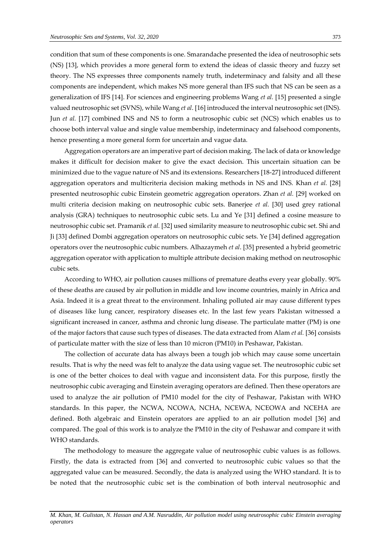condition that sum of these components is one. Smarandache presented the idea of neutrosophic sets (NS) [13], which provides a more general form to extend the ideas of classic theory and fuzzy set theory. The NS expresses three components namely truth, indeterminacy and falsity and all these components are independent, which makes NS more general than IFS such that NS can be seen as a generalization of IFS [14]. For sciences and engineering problems Wang *et al.* [15] presented a single valued neutrosophic set (SVNS), while Wang *et al*. [16] introduced the interval neutrosophic set (INS). Jun *et al.* [17] combined INS and NS to form a neutrosophic cubic set (NCS) which enables us to choose both interval value and single value membership, indeterminacy and falsehood components, hence presenting a more general form for uncertain and vague data.

Aggregation operators are an imperative part of decision making. The lack of data or knowledge makes it difficult for decision maker to give the exact decision. This uncertain situation can be minimized due to the vague nature of NS and its extensions. Researchers [18-27] introduced different aggregation operators and multicriteria decision making methods in NS and INS. Khan *et al.* [28] presented neutrosophic cubic Einstein geometric aggregation operators. Zhan *et al.* [29] worked on multi criteria decision making on neutrosophic cubic sets. Banerjee *et al.* [30] used grey rational analysis (GRA) techniques to neutrosophic cubic sets. Lu and Ye [31] defined a cosine measure to neutrosophic cubic set. Pramanik *et al.* [32] used similarity measure to neutrosophic cubic set. Shi and Ji [33] defined Dombi aggregation operators on neutrosophic cubic sets. Ye [34] defined aggregation operators over the neutrosophic cubic numbers. Alhazaymeh *et al*. [35] presented a hybrid geometric aggregation operator with application to multiple attribute decision making method on neutrosophic cubic sets.

According to WHO, air pollution causes millions of premature deaths every year globally. 90% of these deaths are caused by air pollution in middle and low income countries, mainly in Africa and Asia. Indeed it is a great threat to the environment. Inhaling polluted air may cause different types of diseases like lung cancer, respiratory diseases etc. In the last few years Pakistan witnessed a significant increased in cancer, asthma and chronic lung disease. The particulate matter (PM) is one of the major factors that cause such types of diseases. The data extracted from Alam *et al.* [36] consists of particulate matter with the size of less than 10 micron (PM10) in Peshawar, Pakistan.

The collection of accurate data has always been a tough job which may cause some uncertain results. That is why the need was felt to analyze the data using vague set. The neutrosophic cubic set is one of the better choices to deal with vague and inconsistent data. For this purpose, firstly the neutrosophic cubic averaging and Einstein averaging operators are defined. Then these operators are used to analyze the air pollution of PM10 model for the city of Peshawar, Pakistan with WHO standards. In this paper, the NCWA, NCOWA, NCHA, NCEWA, NCEOWA and NCEHA are defined. Both algebraic and Einstein operators are applied to an air pollution model [36] and compared. The goal of this work is to analyze the PM10 in the city of Peshawar and compare it with WHO standards.

The methodology to measure the aggregate value of neutrosophic cubic values is as follows. Firstly, the data is extracted from [36] and converted to neutrosophic cubic values so that the aggregated value can be measured. Secondly, the data is analyzed using the WHO standard. It is to be noted that the neutrosophic cubic set is the combination of both interval neutrosophic and

*M. Khan, M. Gulistan, N. Hassan and A.M. Nasruddin, Air pollution model using neutrosophic cubic Einstein averaging operators*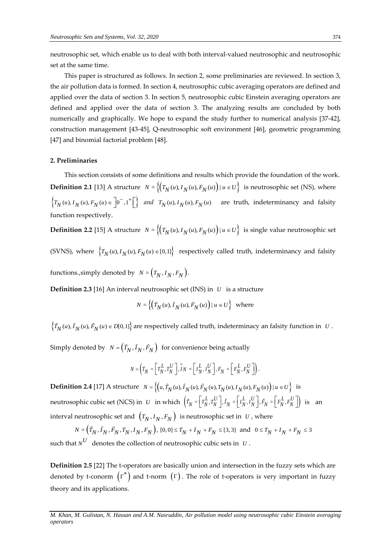neutrosophic set, which enable us to deal with both interval-valued neutrosophic and neutrosophic set at the same time.

This paper is structured as follows. In section 2, some preliminaries are reviewed. In section 3, the air pollution data is formed. In section 4, neutrosophic cubic averaging operators are defined and applied over the data of section 3. In section 5, neutrosophic cubic Einstein averaging operators are defined and applied over the data of section 3. The analyzing results are concluded by both numerically and graphically. We hope to expand the study further to numerical analysis [37-42], construction management [43-45], Q-neutrosophic soft environment [46], geometric programming [47] and binomial factorial problem [48].

## **2. Preliminaries**

This section consists of some definitions and results which provide the foundation of the work. **Definition 2.1** [13] A structure  $N = \{(T_N(u), T_N(u), F_N(u)) | u \in U\}$  is neutrosophic set (NS), where  $\left\{T_N(u), I_N(u), F_N(u) \in \left]0^-, 1^+\right[\right\}$  and  $T_N(u), I_N(u), F_N(u)$  are truth, indeterminancy and falsity function respectively.

**Definition 2.2** [15] A structure  $N = \left\{ \left( T_N(u), I_N(u), F_N(u) \right) | u \in U \right\}$  is single value neutrosophic set

(SVNS), where  $\left\{T_N(u), T_N(u), F_N(u) \in [0,1]\right\}$  respectively called truth, indeterminancy and falsity

functions.,simply denoted by  $N = (T_N, I_N, F_N)$ .

**Definition 2.3** [16] An interval neutrosophic set (INS) in *U* is a structure

$$
N = \left\{ \left( \tilde{T}_N(u), \tilde{I}_N(u), \tilde{F}_N(u) \right) \mid u \in U \right\} \text{ where}
$$

 $\left\{ \tilde{T}_N(u), \tilde{I}_N(u), \tilde{F}_N(u) \in D[0,1] \right\}$  are respectively called truth, indeterminacy an falsity function in  $U$ .

Simply denoted by  $N = (\tilde{T}_N, \tilde{I}_N, \tilde{F}_N)$  for convenience being actually

$$
N = \left(\tilde{T}_N = \left[\begin{array}{c} T_N^L, T_N^U \end{array}\right], \tilde{I}_N = \left[\begin{array}{c} I_N^L, I_N^U \end{array}\right], \tilde{F}_N = \left[\begin{array}{c} F_N^L, F_N^U \end{array}\right]\right).
$$

*.*

**Definition 2.4** [17] A structure  $N = \{(u, \tilde{T}_N(u), \tilde{I}_N(u), \tilde{F}_N(u), T_N(u), I_N(u), F_N(u)) | u \in U\}$  is neutrosophic cubic set (NCS) in U in which  $(\tilde{T}_N = \begin{bmatrix} T_N^L, T_N^U \end{bmatrix}, \tilde{I}_N = \begin{bmatrix} I_N^L, I_N^U \end{bmatrix}, \tilde{F}_N = \begin{bmatrix} F_N^L, F_N^U \end{bmatrix} )$  is an interval neutrosophic set and  $\left(T_N, I_N, F_N\right)$  is neutrosophic set in  $|U|$ , where

$$
N = \left(\tilde{T}_N, \tilde{T}_N, \tilde{F}_N, T_N, I_N, F_N\right), [0, 0] \le \tilde{T}_N + \tilde{T}_N + \tilde{F}_N \le [3, 3] \text{ and } 0 \le T_N + I_N + F_N \le 3
$$

such that  $N^U$  denotes the collection of neutrosophic cubic sets in  $U$ .

**Definition 2.5** [22] The t-operators are basically union and intersection in the fuzzy sets which are denoted by t-conorm  $\left(\Gamma^\ast\right)$  and t-norm  $\left(\Gamma\right)$ . The role of t-operators is very important in fuzzy theory and its applications.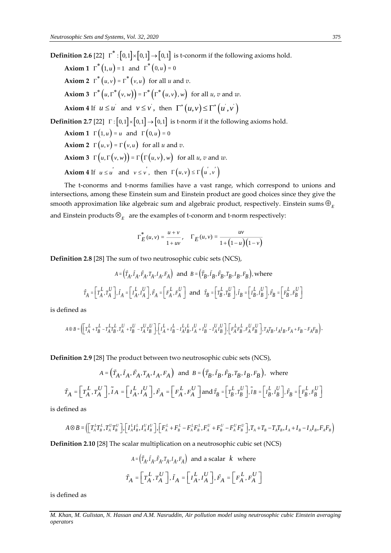**Definition 2.6** [22]  $\Gamma^*:[0,1]\times\llbracket 0,1\rrbracket\to\llbracket 0,1\rrbracket$  is t-conorm if the following axioms hold. **Axiom 1**  $\Gamma^*(1, u) = 1$  and  $\Gamma^*(0, u) = 0$ **Axiom 2**  $\Gamma^*(u, v) = \Gamma^*(v, u)$  for all *u* and *v*. **Axiom 3**  $\Gamma^* (u, \Gamma^* (v, w)) = \Gamma^* (\Gamma^* (u, v), w)$  for all *u*, *v* and *w*. Axiom 4 If  $u \le u'$  and  $v \le v'$ ,  $v \le v'$ , then  $\Gamma^*(u, v) \le \Gamma^*(u', v')$ **Definition 2.7** [22]  $\Gamma: [0,1] \times [0,1] \rightarrow [0,1]$  is t-norm if it the following axioms hold. **Axiom 1**  $\Gamma\left(1, u\right) = u$  and  $\Gamma\left(0, u\right) = 0$ **Axiom 2**  $\Gamma\left(u, v\right) = \Gamma\left(v, u\right)$  for all *u* and *v*. **Axiom 3**  $\Gamma\left(u, \Gamma\left(v, w\right)\right) = \Gamma\left(\Gamma\left(u, v\right), w\right)$  for all *u*, *v* and *w*. Axiom 4 If  $u \le u'$  and  $v \le v'$ ,  $v \le v'$ , then  $\Gamma(u, v) \le \Gamma(u', v')$ 

The t-conorms and t-norms families have a vast range, which correspond to unions and intersections, among these Einstein sum and Einstein product are good choices since they give the smooth approximation like algebraic sum and algebraic product, respectively. Einstein sums  $\oplus_{_E}$ and Einstein products  $\otimes_{_E}\,$  are the examples of t-conorm and t-norm respectively:

$$
\Gamma_E^*(u, v) = \frac{u + v}{1 + uv}, \quad \Gamma_E(u, v) = \frac{uv}{1 + (1 - u)(1 - v)}
$$

**Definition 2.8** [28] The sum of two neutrosophic cubic sets (NCS),

$$
A = \left(\tilde{T}_A, \tilde{I}_A, \tilde{F}_A, T_A, I_A, F_A\right) \text{ and } B = \left(\tilde{T}_B, \tilde{I}_B, \tilde{F}_B, T_B, I_B, F_B\right), \text{where}
$$
\n
$$
\tilde{T}_A = \left[T_A^L, T_A^U\right], \tilde{I}_A = \left[T_A^L, I_A^U\right], \tilde{F}_A = \left[F_A^L, F_A^U\right] \text{ and } \tilde{T}_B = \left[T_B^L, T_B^U\right], \tilde{I}_B = \left[T_B^L, I_B^U\right], \tilde{F}_B = \left[F_B^L, F_B^U\right]
$$

is defined as

$$
A\oplus B=\left(\left[T_A^L+T_B^L-T_A^LT_B^U,T_A^U\right.\right.\left.+T_A^U^T\right)^T\right]\cdot\left[\left.I_A^L+I_B^L-I_A^LL_B^L,I_A^U\right.\left.+I_B^U-I_A^UI_B^U\right]\right]\cdot\left[\left.F_A^LF_B^L,F_A^UF_B^U\right]\cdot\left.T_AT_B,I_AI_B,F_A+F_B-F_AF_B\right)\cdot\left.\right]
$$

**Definition 2.9** [28] The product between two neutrosophic cubic sets (NCS),

$$
A = \left(\tilde{T}_A, \tilde{I}_A, \tilde{F}_A, T_A, I_A, F_A\right) \text{ and } B = \left(\tilde{T}_B, \tilde{I}_B, \tilde{F}_B, T_B, I_B, F_B\right), \text{ where}
$$
  

$$
\tilde{T}_A = \left[T_A^L, T_A^U\right], \tilde{I}_A = \left[T_A^L, I_A^U\right], \tilde{F}_A = \left[F_A^L, F_A^U\right] \text{ and } \tilde{T}_B = \left[T_B^L, T_B^U\right], \tilde{I}_B = \left[T_B^L, I_B^U\right], \tilde{F}_B = \left[F_B^L, F_B^U\right]
$$

is defined as

$$
A \otimes B = \left( \left[ T_A^L T_B^L, T_A^U T_B^U \right], \left[ I_A^L I_B^L, I_A^U I_B^U \right], \left[ F_A^L + F_B^L - F_A^L F_B^L, F_A^U + F_B^U - F_A^U F_B^U \right], T_A + T_B - T_A T_B, I_A + I_B - I_A I_B, F_A F_B \right)
$$

**Definition 2.10** [28] The scalar multiplication on a neutrosophic cubic set (NCS)

$$
A = (\tilde{T}_A, \tilde{I}_A, \tilde{F}_A, T_A, I_A, F_A)
$$
 and a scalar  $k$  where  

$$
\tilde{T}_A = \left[ T_A^L, T_A^U \right], \tilde{I}_A = \left[ I_A^L, I_A^U \right], \tilde{F}_A = \left[ F_A^L, F_A^U \right]
$$

is defined as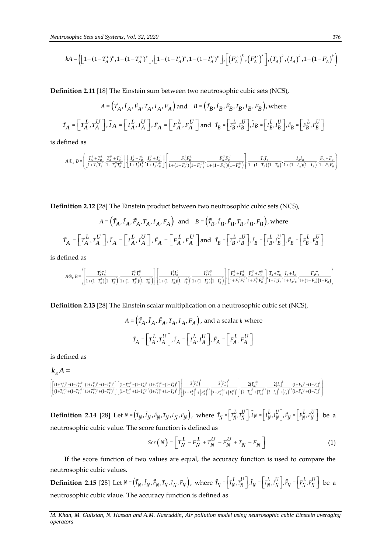$$
kA = \left( \left[ 1 - (1 - T_A^L)^k, 1 - (1 - T_A^U)^k \right], \left[ 1 - (1 - I_A^L)^k, 1 - (1 - I_A^U)^k \right], \left[ \left( F_A^L \right)^k, \left( F_A^U \right)^k \right], \left( T_A \right)^k, \left( I_A \right)^k, 1 - (1 - F_A)^k \right)
$$

**Definition 2.11** [18] The Einstein sum between two neutrosophic cubic sets (NCS),

$$
kA = \left( \left[ 1 - (1 - T_{\lambda}^{L})^{k}, 1 - (1 - T_{\lambda}^{L})^{k} \right], \left[ 1 - (1 - I_{\lambda}^{L})^{k}, 1 - (1 - I_{\lambda}^{L})^{k} \right], \left[ \left[ F_{\lambda}^{L} \right]^{k}, \left[ F_{\lambda}^{L} \right]^{k}, \left[ F_{\lambda}^{L} \right]^{k}, \left[ I_{\lambda} \right]^{k}, I_{\lambda} \right]^{k}, I_{\lambda} \right]^{k}, I_{\lambda} \left[ 1 - (1 - F_{\lambda})^{k} \right]
$$
\nDefinition 2.11 [18] The Einstein sum between two neutrosophic cubic sets (NCS),

\n
$$
A = \left( \tilde{T}_{A}, \tilde{T}_{A}, \tilde{T}_{A}, \tilde{T}_{A}, \tilde{T}_{A}, \tilde{T}_{A}) \text{ and } B = \left( \tilde{T}_{B}, \tilde{T}_{B}, \tilde{T}_{B}, \tilde{T}_{B}, \tilde{T}_{B}, \tilde{T}_{B}, \tilde{T}_{B} \right) \text{ where}
$$
\n
$$
\tilde{T}_{A} = \left[ T_{A}^{L}, T_{A}^{L} \right], \tilde{T}_{A} = \left[ T_{A}^{L}, T_{A}^{L} \right], \tilde{F}_{A} = \left[ F_{A}^{L}, F_{A}^{L} \right] \text{ and } \tilde{T}_{B} = \left[ T_{B}^{L}, \tilde{T}_{B}^{L} \right], \tilde{T}_{B} = \left[ \left[ \tilde{T}_{B}, \tilde{T}_{B}^{L} \right] \right], \tilde{T}_{B} = \left[ \left[ \tilde{T}_{B}, \tilde{T}_{B}^{L} \right] \right], \tilde{T}_{B} = \left[ \tilde{T}_{B}^{L}, \tilde{T}_{B}^{L} \right], \tilde{T}_{B} = \left[ \tilde{T}_{B}^{L}, \tilde{T}_{B}^{L} \right], \tilde{T}_{B} = \left[ \tilde{T}_{B}^{L}, \tilde{T}_{B}^{L} \right], \tilde{T}_{B} = \left[ \tilde{T}_{B}^{L}, \tilde{T}_{B}^{L} \right], \tilde{T}_{B} = \left[ \tilde{T}_{B}^{L}, \tilde{T}_{B}^{L} \right], \tilde{T}_{B} = \left[ \tilde{T}_{B}^{L}, \tilde{T}_{B}^{L}
$$

is defined as

$$
A\oplus_E B=\!\!\left[\!\left(\frac{T_{A}^L+T_{B}^L}{1+T_{A}^L T_{B}^L},\frac{T_{A}^U+T_{B}^U}{1+T_{A}^{\prime} T_{B}^U}\right)\!\!\right]\!\!\!\left[\frac{I_{A}^L+I_{B}^L}{1+I_{A}^L I_{B}^L},\frac{I_{A}^U+I_{B}^U}{1+I_{A}^{\prime} T_{B}^U}\right]\!\!\right]\!\!\!\left[\frac{F_{A}^L F_{B}^L}{1+\left(1-F_{A}^L\right)\!\left(1-F_{B}^L\right)},\frac{F_{A}^U F_{B}^U}{1+\left(1-F_{A}^U\right)\!\left(1-F_{B}^U\right)}\right]\!\!\right]\!\!\!\!,\qquad\left.\frac{T_{A}T_{B}}{1+\left(1-T_{A}\right)\!\left(1-T_{B}\right)},\frac{I_{A}I_{B}}{1+\left(1-I_{A}\right)\!\left(1-I_{B}\right)},\frac{I_{B}^L+I_{B}^L}{1+I_{B}^L I_{B}^L}\right)\!\!\right]
$$

**Definition 2.12** [28] The Einstein product between two neutrosophic cubic sets (NCS),

$$
A = \left(\tilde{T}_A, \tilde{I}_A, \tilde{F}_A, T_A, I_A, F_A\right) \text{ and } B = \left(\tilde{T}_B, \tilde{I}_B, \tilde{F}_B, T_B, I_B, F_B\right), \text{where}
$$
  

$$
\tilde{T}_A = \left[T_A^L, T_A^U\right], \tilde{I}_A = \left[I_A^L, I_A^U\right], \tilde{F}_A = \left[F_A^L, F_A^U\right] \text{ and } \tilde{T}_B = \left[T_B^L, T_B^U\right], \tilde{I}_B = \left[I_B^L, I_B^U\right], \tilde{F}_B = \left[F_B^L, F_B^U\right]
$$

is defined as

$$
A\otimes_E B=\!\!\!\left[\!\!\left[\frac{T_A^L T_B^L}{1\!+\!(1\!-\!T_A^L)\! \left(1\!-\!T_B^L\right)}\!\!,\!\frac{T_A^U T_B^U}{1\!+\!(1\!-\!T_A^U)\! \left(1\!-\!T_B^U\right)}\!\right]\!\!,\!\left[\frac{I_A^L I_B^L}{1\!+\!(1\!-\!I_A^L)\! \left(1\!-\!I_B^L\right)}\!,\!\frac{I_A^U I_B^U}{1\!+\!(1\!-\!I_A^U)\! \left(1\!-\!I_B^U\right)}\!\!,\!\left[\!\left[\frac{F_A^L+F_B^L}{1\!+\!F_A^L F_B^L},\frac{F_A^U+F_B^U}{1\!+\!F_A^L F_B^U}\right]\!\!,\!\frac{T_A\!+\!T_B}{1\!+\!T_A T_B},\frac{I_A\!+\!I_B}{1\!+\!I_A I_B},\frac{F_A F_B}{1\!+\!I_A I_B}\right)\!\right]
$$

**Definition 2.13** [28] The Einstein scalar multiplication on a neutrosophic cubic set (NCS),

$$
A = (\tilde{T}_A, \tilde{I}_A, \tilde{F}_A, T_A, I_A, F_A), \text{ and a scalar } k \text{ where}
$$

$$
\tilde{T}_A = \left[ T_A^L, T_A^U \right], \tilde{I}_A = \left[ I_A^L, I_A^U \right], \tilde{F}_A = \left[ F_A^L, F_A^U \right]
$$

is defined as

$$
k_{\scriptscriptstyle E} A =
$$

$$
\left[\left[\frac{(1+T_A^L)^k-(1-T_A^L)^k}{(1+T_A^L)^k+(1-T_A^L)^k}\cdot\frac{(1+T_A^U)^k-(1-T_A^U)^k}{(1+T_A^U)^k+(1-T_A^U)^k}\right]\cdot\left[\frac{(1+I_A^L)^k-(1-I_A^L)^k}{(1+I_A^L)^k+(1-I_A^L)^k}\cdot\frac{(1+I_A^U)^k-(1-I_A^U)^k}{(1+I_A^U)^k+(1-I_A^U)^k}\right]\cdot\left[\frac{2\left(F_A^L\right)^k}{\left(2-F_A^L\right)^k+\left(F_A^L\right)^k},\frac{2\left(T_A\right)^k}{\left(2-F_A^L\right)^k+\left(F_A^U\right)^k}\right]\cdot\left[\frac{2\left(T_A\right)^k}{\left(2-T_A\right)^k+\left(F_A^L\right)^k}\cdot\frac{2\left(T_A\right)^k}{\left(2-T_A\right)^k+\left(T_A\right)^k},\frac{2\left(T_A\right)^k}{(1+I_A^L)^k+(1-I_A^U)^k}\right]\cdot\left[\frac{2\left(T_A^L\right)^k}{\left(2-T_A^L\right)^k+\left(F_A^L\right)^k}\right]\cdot\left[\frac{2\left(T_A^L\right)^k}{\left(2-T_A^L\right)^k+\left(F_A^L\right)^k}\right]\cdot\left[\frac{2\left(T_A^L\right)^k}{\left(2-T_A^L\right)^k+\left(F_A^L\right)^k}\right]\cdot\left[\frac{2\left(T_A^L\right)^k}{\left(2-T_A^L\right)^k+\left(F_A^L\right)^k}\cdot\frac{2\left(T_A^L\right)^k}{\left(2-T_A^L\right)^k+\left(F_A^L\right)^k}\right]\cdot\left[\frac{2\left(T_A^L\right)^k}{\left(2-T_A^L\right)^k+\left(F_A^L\right)^k}\right]\cdot\left[\frac{2\left(T_A^L\right)^k}{\left(2-T_A^L\right)^k+\left(F_A^L\right)^k}\right]\cdot\left[\frac{2\left(T_A^L\right)^k}{\left(2-T_A^L\right)^k+\left(F_A^L\right)^k}\right]\cdot\left[\frac{2\left(T_A^L\right)^k}{\left(2-T_A^L\right)^k+\left(F_A^L\right)^k}\right]\cdot\left[\frac{2\left(T_A^L\right)^k}{\left(2-T_A^L\right)^k
$$

**Definition 2.14** [28] Let  $N = (\tilde{T}_N, \tilde{I}_N, \tilde{F}_N, T_N, I_N, F_N)$ , where  $\tilde{T}_N = \begin{bmatrix} T_N^L, T_N^U \end{bmatrix}, \tilde{I}_N = \begin{bmatrix} I_N^L, U_N^U \end{bmatrix}, \tilde{F}_N = \begin{bmatrix} F_N^L, F_N^U \end{bmatrix}$  be a neutrosophic cubic value. The score function is defined as

$$
Scr(N) = \left[ T_N^L - F_N^L + T_N^U - F_N^U + T_N - F_N \right] \tag{1}
$$

If the score function of two values are equal, the accuracy function is used to compare the neutrosophic cubic values.

neutrosophic cubic values.<br>**Definition 2.15** [28] Let  $N = (\tilde{T}_N, \tilde{I}_N, \tilde{F}_N, T_N, I_N, F_N)$ , where  $\tilde{T}_N = \begin{bmatrix} T_N^L, T_N^U \end{bmatrix}, \tilde{I}_N = \begin{bmatrix} I_N^L, I_N^U \end{bmatrix}, \tilde{F}_N = \begin{bmatrix} F_N^L, F_N^U \end{bmatrix}$  be a neutrosophic cubic vlaue. The accuracy function is defined as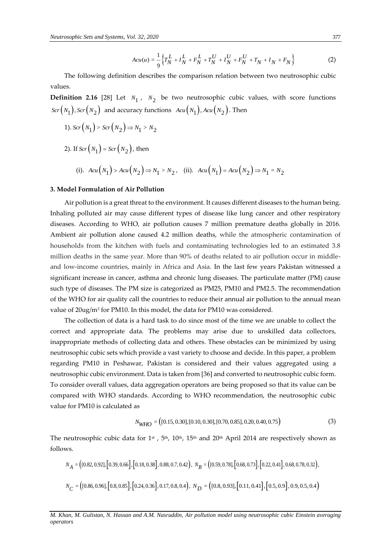$$
Acu(u) = \frac{1}{9} \left\{ T_N^L + I_N^L + F_N^L + T_N^U + I_N^U + F_N^U + T_N + I_N + F_N \right\}
$$
 (2)

The following definition describes the comparison relation between two neutrosophic cubic values.

**Definition 2.16** [28] Let  $N_1$ ,  $N_2$  be two neutrosophic cubic values, with score functions  $\mathit{Scr}\big(N_1\big)$  ,  $\mathit{Scr}\big(N_2\big)$  and accuracy functions  $\mathit{Acu}\big(N_1\big)$  ,  $\mathit{Acu}\big(N_2\big)$  . Then

1). 
$$
Scr(N_1) > Scr(N_2) \Rightarrow N_1 > N_2
$$

2). If  $Scr(N_1)$  =  $Scr(N_2)$ , then

(i). 
$$
Acu(N_1) > Acu(N_2) \Rightarrow N_1 > N_2
$$
, (ii).  $Acu(N_1) = Acu(N_2) \Rightarrow N_1 = N_2$ 

#### **3. Model Formulation of Air Pollution**

Anator  $-\frac{1}{3}\left[\frac{1}{2}f_{N}^{+} + i\frac{1}{N} + f_{N}^{+} + i\frac{1}{N} + f_{N}^{+} + i\frac{1}{N} + f_{N}^{+} + i\frac{1}{N} + i\frac{1}{N} + f_{N}^{+} + j\frac{1}{N} + i\frac{1}{N} + i\frac{1}{N} + i\frac{1}{N} + i\frac{1}{N} + i\frac{1}{N} + i\frac{1}{N} + i\frac{1}{N} + i\frac{1}{N} + i\frac{1}{N} + i\frac{1}{N} + i\frac{1}{N} + i\frac{1$ Air pollution is a great threat to the environment. It causes different diseases to the human being. Inhaling polluted air may cause different types of disease like lung cancer and other respiratory diseases. According to WHO, air pollution causes 7 million premature deaths globally in 2016. Ambient air pollution alone caused 4.2 million deaths, while the atmospheric contamination of households from the kitchen with fuels and contaminating technologies led to an estimated 3.8 million deaths in the same year. More than 90% of deaths related to air pollution occur in middleand low-income countries, mainly in Africa and Asia. In the last few years Pakistan witnessed a significant increase in cancer, asthma and chronic lung diseases. The particulate matter (PM) cause such type of diseases. The PM size is categorized as PM25, PM10 and PM2.5. The recommendation of the WHO for air quality call the countries to reduce their annual air pollution to the annual mean value of 20ug/m<sup>3</sup> for PM10. In this model, the data for PM10 was considered*.*

The collection of data is a hard task to do since most of the time we are unable to collect the correct and appropriate data. The problems may arise due to unskilled data collectors, inappropriate methods of collecting data and others. These obstacles can be minimized by using neutrosophic cubic sets which provide a vast variety to choose and decide. In this paper, a problem regarding PM10 in Peshawar, Pakistan is considered and their values aggregated using a neutrosophic cubic environment. Data is taken from [36] and converted to neutrosophic cubic form. To consider overall values, data aggregation operators are being proposed so that its value can be compared with WHO standards. According to WHO recommendation, the neutrosophic cubic value for PM10 is calculated as

$$
N_{\text{WHO}} = ( [0.15, 0.30], [0.10, 0.30], [0.70, 0.85], 0.20, 0.40, 0.75) \tag{3}
$$

The neutrosophic cubic data for 1<sup>st</sup>, 5<sup>th</sup>, 10<sup>th</sup>, 15<sup>th</sup> and 20<sup>th</sup> April 2014 are respectively shown as follows.

$$
N_A = ( [0.82, 0.92], [0.39, 0.66], [0.18, 0.38], 0.88, 0.7, 0.42), N_B = ( [0.59, 0.78], [0.68, 0.73], [0.22, 0.41], 0.68, 0.78, 0.32),
$$
  

$$
N_C = ( [0.86, 0.96], [0.8, 0.85], [0.24, 0.36], 0.17, 0.8, 0.4), N_D = ( [0.8, 0.93], [0.11, 0.41], [0.5, 0.9], 0.9, 0.5, 0.4)
$$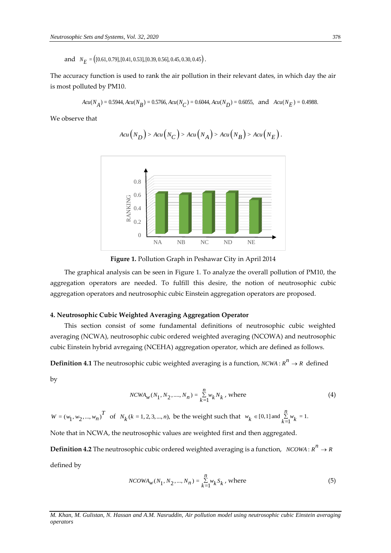and  $N_E = (0.61, 0.79], [0.41, 0.53], [0.39, 0.56], 0.45, 0.30, 0.45)$ .

The accuracy function is used to rank the air pollution in their relevant dates, in which day the air is most polluted by PM10.

$$
Acu(N_A) = 0.5944, Acu(N_B) = 0.5766, Acu(N_C) = 0.6044, Acu(N_D) = 0.6055, \text{ and } Acu(N_E) = 0.4988.
$$

We observe that

$$
\begin{array}{c}\n\begin{array}{c}\n\text{o.8} \\
\text{O.6} \\
\text{M} \\
\text{N} \\
\end{array} \\
\end{array}
$$

$$
Acu(N_D) > Acu(N_C) > Acu(N_A) > Acu(N_B) > Acu(N_E).
$$



The graphical analysis can be seen in Figure 1. To analyze the overall pollution of PM10, the aggregation operators are needed. To fulfill this desire, the notion of neutrosophic cubic aggregation operators and neutrosophic cubic Einstein aggregation operators are proposed.

### **4. Neutrosophic Cubic Weighted Averaging Aggregation Operator**

This section consist of some fundamental definitions of neutrosophic cubic weighted averaging (NCWA), neutrosophic cubic ordered weighted averaging (NCOWA) and neutrosophic cubic Einstein hybrid avregaing (NCEHA) aggregation operator, which are defined as follows.

**Definition 4.1** The neutrosophic cubic weighted averaging is a function, *NCWA* :  $R^n \to R$  defined

by

$$
NCWA_{w}(N_1, N_2, \dots, N_n) = \sum_{k=1}^{n} w_k N_k, \text{ where}
$$
 (4)

 $W = (w_1, w_2, ..., w_n)^T$  of  $N_k (k = 1, 2, 3, ..., n)$ , be the weight such that  $w_k \in [0,1]$  and  $\sum_{k=1}^{n} w_k = 1$ . *n*  $w_k \in [0,1]$  and  $\sum_{k=1}^{n} w_k$ 

Note that in NCWA, the neutrosophic values are weighted first and then aggregated.

 $\bf{Definition 4.2}$  The neutrosophic cubic ordered weighted averaging is a function,  $\; NCOWA$  :  $\mathit{R}^n\rightarrow\mathit{R}$ 

defined by

$$
NCOWA_{w}(N_1, N_2, ..., N_n) = \sum_{k=1}^{n} w_k S_k, \text{ where}
$$
\n(5)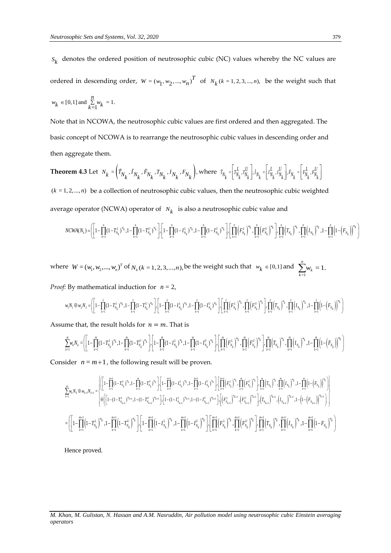Note that in NCOWA, the neutrosophic cubic values are first ordered and then aggregated. The basic concept of NCOWA is to rearrange the neutrosophic cubic values in descending order and then aggregate them.

**Theorem 4.3** Let  $N_k = \left(\tilde{T}_{N_k}, \tilde{T}_{N_k}, \tilde{F}_{N_k}, T_{N_k}, I_{N_k}, F_{N_k}\right)$ , where  $\tilde{T}_{N_k} = \left[T_{N_k}^L, T_{N_k}^U\right], \tilde{T}_{N_k} = \left[T_{N_k}^L, I_{N_k}^U\right], \tilde{F}_{N_k} = \left[F_{N_k}^L, F_{N_k}^U\right]$  $(k = 1, 2, \dots, n)$  be a collection of neutrosophic cubic values, then the neutrosophic cubic weighted average operator (NCWA) operator of  $N_k$  is also a neutrosophic cubic value and Let  $N_k = \begin{bmatrix} 1 & N_k & N_k & N_k & N_k & N_k & N_k & N_k \end{bmatrix}$ , where  $N_k = \begin{bmatrix} 1 & N_k & N_k & N_k & N_k & N_k \end{bmatrix}$ ,  $N_k = \begin{bmatrix} 1 & N_k & N_k & N_k & N_k & N_k \end{bmatrix}$ <br>
be a collection of neutrosophic cubic values, then the neutrosophic cubic weighted<br>
ator (NCWA) o

1, 2, ..., n) be a collection of neutrosophic cubic values, then the neutrosophic cubic weighted  
age operator (NCWA) operator of 
$$
N_k
$$
 is also a neutrosophic cubic value and  

$$
NCWA(N_k) = \left( \left[ 1 - \prod_{k=1}^n (1 - T_{N_k}^L)^{w_k}, 1 - \prod_{k=1}^n (1 - T_{N_k}^U)^{w_k} \right], \left[ 1 - \prod_{k=1}^n (1 - I_{N_k}^L)^{w_k}, 1 - \prod_{k=1}^n (1 - I_{N_k}^U)^{w_k} \right], \left[ \prod_{k=1}^n (F_{N_k}^L)^{w_k}, \prod_{k=1}^n (F_{N_k}^U)^{w_k} \right], \prod_{k=1}^n (T_{N_k})^{w_k}, \prod_{k=1}^n (I_{N_k})^{w_k}, 1 - \prod_{k=1}^n (1 - (F_{N_k}))^{w_k} \right)
$$

where  $W = (w_1, w_2, ..., w_n)^T$  of  $N_k$  ( $k = 1, 2, 3, ..., n$ ), be the weight such that  $w_k \in [0, 1]$  and =1  $\sum_{i=1}^{n} w_i = 1.$  $\sum_{k=1}$ <sup>*w*</sup><sub>*k*</sub>

*Proof:* By mathematical induction for *<sup>n</sup>* <sup>=</sup> 2,

$$
w_iN_1\oplus w_2N_2 = \left(\left[1-\prod_{k=1}^2(1-T_{N_k}^L)^{w_k},1-\prod_{k=1}^2(1-T_{N_k}^U)^{w_k}\right]\right)\left[1-\prod_{k=1}^2(1-I_{N_k}^L)^{w_k},1-\prod_{k=1}^2(1-I_{N_k}^U)^{w_k}\right]\cdot\\ \left[\prod_{k=1}^2\left(F_{N_k}^L\right)^{w_k},\prod_{k=1}^2\left(F_{N_k}^U\right)^{w_k}\right]\cdot\\ \prod_{k=1}^2\left(T_{N_k}\right)^{w_k},\prod_{k=1}^2\left(I_{N_k}\right)^{w_k},1-\prod_{k=1}^2\left(1-\left(F_{N_k}\right)^{w_k}\right)\cdot\\ \left[\prod_{k=1}^2\left(T_{N_k}^L\right)^{w_k},\prod_{k=1}^2\left(T_{N_k}\right)^{w_k},1-\prod_{k=1}^2\left(1-\left(F_{N_k}\right)^{w_k}\right)\right]\cdot\\ \left[\prod_{k=1}^2\left(T_{N_k}^L\right)^{w_k},\prod_{k=1}^2\left(T_{N_k}\right)^{w_k},1-\prod_{k=1}^2\left(1-\left(F_{N_k}\right)^{w_k}\right)\right]\cdot\\ \left[\prod_{k=1}^2\left(T_{N_k}^L\right)^{w_k},\prod_{k=1}^2\left(T_{N_k}\right)^{w_k},1-\prod_{k=1}^2\left(1-\left(F_{N_k}\right)^{w_k}\right)\right]\cdot\\ \left[\prod_{k=1}^2\left(T_{N_k}^L\right)^{w_k},\prod_{k=1}^2\left(T_{N_k}\right)^{w_k},1-\prod_{k=1}^2\left(1-\left(F_{N_k}\right)^{w_k}\right)\right]\cdot\\ \left[\prod_{k=1}^2\left(T_{N_k}^L\right)^{w_k},\prod_{k=1}^2\left(T_{N_k}\right)^{w_k},1-\prod_{k=1}^2\left(T_{N_k}\right)^{w_k}\right]\cdot\\ \left[\prod_{k=1}^2\left(T_{N_k}^L\right)^{w_k},\prod_{k=1}^2\left(T_{N_k}\right)^{w_k},1-\prod_{k=1}^2\left(T_{N_k}\right)^{w_k}\right]\cdot\\ \left[\prod_{k=1}^2\left(T_{N_k}^L\right
$$

Assume that, the result holds for  $n = m$ . That is

$$
w_1N_1 \oplus w_2N_2 = \left( \left[ 1 - \prod_{k=1}^2 (1 - T_{N_k}^L)^{w_k}, 1 - \prod_{k=1}^2 (1 - T_{N_k}^U)^{w_k} \right] \right) \left[ 1 - \prod_{k=1}^2 (1 - T_{N_k}^L)^{w_k}, 1 - \prod_{k=1}^2 (1 - T_{N_k}^U)^{w_k} \right] \cdot \left[ \prod_{k=1}^2 (1 - T_{N_k}^U)^{w_k} \right] \cdot \left[ \prod_{k=1}^2 (F_{N_k}^L)^{w_k}, \prod_{k=1}^2 (F_{N_k}^U)^{w_k} \right] \cdot \prod_{k=1}^2 (T_{N_k}^U)^{w_k}, 1 - \prod_{k=1}^2 (1 - (F_{N_k}^U)^{w_k}) \right]
$$
\nand that, the result holds for  $n = m$ . That is

\n
$$
\sum_{k=1}^m w_k N_k = \left( \left[ 1 - \prod_{k=1}^m (1 - T_{N_k}^L)^{w_k}, 1 - \prod_{k=1}^m (1 - T_{N_k}^U)^{w_k} \right] \cdot \left[ 1 - \prod_{k=1}^m (1 - T_{N_k}^L)^{w_k}, 1 - \prod_{k=1}^m (1 - T_{N_k}^U)^{w_k}, 1 - \prod_{k=1}^m (1 - T_{N_k}^U)^{w_k} \right] \cdot \left[ \prod_{k=1}^m (F_{N_k}^L)^{w_k}, \prod_{k=1}^m (F_{N_k}^U)^{w_k} \right] \cdot \prod_{k=1}^m (T_{N_k}^U)^{w_k}, 1 - \prod_{k=1}^m (1 - (F_{N_k}^U)^{w_k} \right]
$$

Consider  $n = m+1$ , the following result will be proven.

$$
\sum_{k=1}^{m}w_{k}N_{k}\oplus w_{k+l}N_{k+l}=\begin{cases}\left[\left[1-\prod_{k=1}^{m+1}(1-T_{N_{k}}^{L})^{v_{k}},1-\prod_{k=1}^{m}(1-T_{N_{k}}^{U})^{v_{k}}\right]\right]\cdot\left[1-\prod_{k=1}^{m+1}(1-I_{N_{k}}^{L})^{v_{k}},1-\prod_{k=1}^{m+1}(1-I_{N_{k}}^{U})^{v_{k}}\right]\cdot\left[\prod_{k=1}^{m+1}\left(F_{N_{k}}^{L}\right)^{v_{k}},\prod_{k=1}^{m}\left(F_{N_{k}}^{U}\right)^{v_{k}}\right]\cdot\prod_{k=1}^{m}\left(F_{N_{k}}^{U}\right)^{v_{k}},\prod_{k=1}^{m}\left(F_{N_{k}}^{U}\right)^{v_{k}},1-\prod_{k=1}^{m}\left(1-\left(F_{N_{k}}\right)^{V_{k}}\right)\cdot\left[\prod_{k=1}^{m}\left(F_{N_{k}}^{U}\right)^{v_{k}},\prod_{k=1}^{m}\left(F_{N_{k}}^{U}\right)^{v_{k}},\prod_{k=1}^{m}\left(F_{N_{k}}^{U}\right)^{v_{k}},1-\prod_{k=1}^{m}\left(1-\left(F_{N_{k}}\right)^{V_{k}}\right)\right]\right]\\\times\left[\left[1-(1-T_{N_{k+1}}^{U})^{v_{k+1}},1-(1-T_{N_{k+1}}^{U})^{v_{k+1}}\right]\cdot\left[1-(1-I_{N_{k+1}}^{U})^{v_{k+1}},1-(1-I_{N_{k+1}}^{U})^{v_{k+1}}\right]\cdot\left[\left(F_{N_{k+1}}^{U}\right)^{v_{k+1}},\left(F_{N_{k+1}}^{U}\right)^{v_{k+1}}\right]\cdot\left[(T_{N_{k+1}})^{v_{k+1}},1-(1-\left(F_{N_{k+1}}\right)^{v_{k+1}}\right]\right]\right]\\\times\left[\left[1-\prod_{k=1}^{m+1}\left(1-T_{N_{k}}^{U}\right)^{w_{k}},1-\prod_{k=1}^{m+1}\left(1-I_{N_{k}}^{U}\right)^{w_{k}},1-\prod_{k=1}^{m+1}\left(1-I_{N_{k}}^{U}\right)^{w_{k}}\right]\cdot\left[\prod_{k=1}^{m+1}\left(F_{N_{k
$$

Hence proved.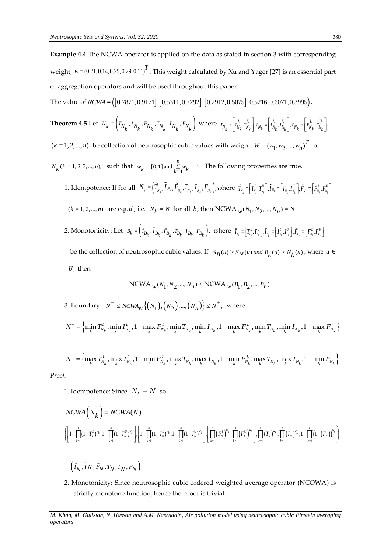**Example 4.4** The NCWA operator is applied on the data as stated in section 3 with corresponding weight*, w* = (0.21, 0.14, 0.25, 0.29, 0.11) $^T$  . This weight calculated by Xu and Yager [27] is an essential part of aggregation operators and will be used throughout this paper.

The value of *NCWA* =  $($ [0.7871,0.9171],[0.5311,0.7292],[0.2912,0.5075],0.5216,0.6071,0.3995).

**Theorem 4.5** Let 
$$
N_k = (\tilde{T}_{N_k}, \tilde{I}_{N_k}, \tilde{F}_{N_k}, T_{N_k}, I_{N_k}, F_{N_k})
$$
, where  $\tilde{T}_{N_k} = (\tilde{T}_{N_k}^L, T_{N_k}^U), \tilde{I}_{N_k} = (\tilde{T}_{N_k}^L, I_{N_k}^U), \tilde{F}_{N_k} = (\tilde{F}_{N_k}^L, F_{N_k}^U)$ .

 $(k = 1, 2, \ldots, n)$  be collection of neutrosophic cubic values with weight  $W = (w_1, w_2, \ldots, w_n)^T$  of

- $N_k$  ( $k = 1, 2, 3, ..., n$ ), such that  $w_k \in [0, 1]$  and  $\sum_{k=1}^{n} w_k = 1$ .  $w_k \in [0,1]$  and  $\sum_{k=1}^{n} w_k = 1$ . The following properties are true.
	- 1. Idempotence: If for all  $\;N_k=\left(\tilde{T}_{N_k}, \tilde{I}_{N_k}, \tilde{F}_{N_k}, T_{N_k}, I_{N_k}, F_{N_k}\right)\!,$  where  $\; \tilde{T}_{N_k}\!=\!\!\left[T^L_{N_k}, T^U_{N_k}\right]\!,$   $\tilde{I}_{N_k}\!=\!\!\left[T^L_{N_k}, I^U_{N_k}\right]\!,$   $\tilde{F}_{N_k}\!=\!\left[F^L_{N_k}, F^U_{N_k}\right]\!,$  $\tilde{T}_{N_k}=\!\!\left[T^L_{N_k},T^U_{N_k}\right]\!\!,\!\widetilde{I}_{N_k}=\!\left[I^L_{N_k},I^U_{N_k}\right]\!\!,\tilde{F}_{N_k}\!=\!\left[F^L_{N_k},F^U_{N_k}\right]$  $(k = 1, 2, ..., n)$  are equal, i.e.  $N_k = N$  for all  $k$ , then NCWA  $_w(N_1, N_2, ..., N_n) = N$
	- 2. Monotonicity: Let  $B_k = (r_{B_k}, r_{B_k}, r_{B_k}, r_{B_k}, r_{B_k}, r_{B_k})$ , where  $\tilde{T}_{B_i} = [T_{B_i}^L, T_{B_i}^U], \tilde{I}_{B_k} = [I_{B_i}^L, I_{B_i}^U], \tilde{F}_{B_i} = [F_{B_i}^L, F_{B_i}^U]$ be the collection of neutrosophic cubic values. If  $S_B(u) \ge S_N(u)$  and  $B_k(u) \ge N_k(u)$ , where  $u \in$ 
		- $U$ , then

$$
\text{NCWA}_{w}(N_1,N_2,...,N_n) \leq \text{NCWA}_{w}(B_1,B_2,...,B_n)
$$

3. Boundary:  $N^{-} \le N C W A_{w} \{ (N_1), (N_2), ..., (N_n) \} \le N^{+}$ , where

$$
N^{-} = \left\{ \min_{k} T_{N_k}^L, \min_{k} I_{N_k}^L, 1 - \max_{k} F_{N_k}^L, \min_{k} T_{N_k}, \min_{k} I_{N_k}, 1 - \max_{k} F_{N_k}^L, \min_{k} T_{N_k}, \min_{k} I_{N_k}, 1 - \max_{k} F_{N_k} \right\}
$$

$$
N^{+} = \left\{ \max_{k} T_{N_k}^L, \max_{k} I_{N_k}^L, 1 - \min_{k} F_{N_k}^L, \max_{k} T_{N_k}, \max_{k} I_{N_k}, 1 - \min_{k} F_{N_k}^L, \max_{k} T_{N_k}, \max_{k} I_{N_k}, 1 - \min_{k} F_{N_k} \right\}
$$

*Proof.*

1. Idempotence: Since  $N_k = N$  so

1. Idempotence: Since 
$$
N_k = N
$$
 so  
\n
$$
NCWA(N_k) = NCWA(N)
$$
\n
$$
\left( \left[ 1 - \prod_{k=1}^{n} (1 - T_k^{U})^{w_k} \right], \left[ 1 - \prod_{k=1}^{n} (1 - T_N^{U})^{w_k} \right], \left[ 1 - \prod_{k=1}^{n} (1 - T_N^{U})^{w_k} \right], \left[ \prod_{k=1}^{n} (F_N^{U})^{w_k} \right], \prod_{k=1}^{n} (F_N^{U})^{w_k} \right], \prod_{k=1}^{n} (T_N)^{w_k}, \prod_{k=1}^{n} (I_N)^{w_k}, 1 - \prod_{k=1}^{n} (1 - (F_N))^{w_k} \right)
$$

- $=\left(\tilde{T}_N, \tilde{I}_N, \tilde{F}_N, T_N, I_N, F_N\right)$
- 2. Monotonicity: Since neutrosophic cubic ordered weighted average operator (NCOWA) is strictly monotone function, hence the proof is trivial.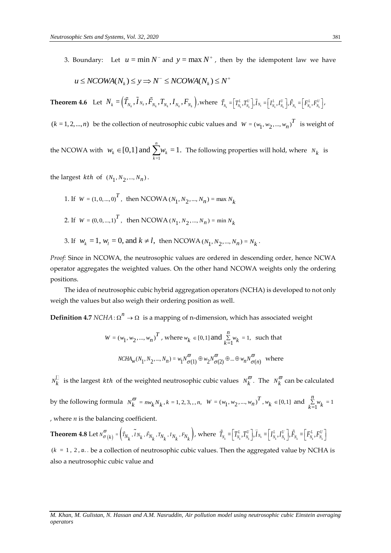3. Boundary: Let  $u = \min N^-$  and  $y = \max N^+$ , then by the idempotent law we have

$$
u \le NCOMA(N_k) \le y \Rightarrow N^- \le NCOMA(N_k) \le N^+
$$

**Theorem 4.6** Let  $N_k = (\tilde{T}_{N_k}, \tilde{I}_{N_k}, \tilde{F}_{N_k}, T_{N_k}, I_{N_k}, F_{N_k})$ , where  $\tilde{T}_{N_k} = [T_{N_k}^L, T_{N_k}^U]$ ,  $\tilde{I}_{N_k} = [I_{N_k}^L, I_{N_k}^U]$ ,  $\tilde{F}_{N_k} = [F_{N_k}^L, F_{N_k}^U]$ ,

 $(k = 1, 2, \ldots, n)$  be the collection of neutrosophic cubic values and  $W = (w_1, w_2, \ldots, w_n)^T$  is weight of

the NCOWA with =1 [0,1] and  $\sum_{k=1}^{n} w_k = 1$ .  $k \in \{0, 1\}$  and  $\sum_{k} k_{k}$  $w_k \in [0,1]$  and  $\sum_{k=1}^N w_k = 1$ . The following properties will hold, where  $N_k$  is

the largest *kth* of  $(N_1, N_2, ..., N_n)$ .

- 1. If  $W = (1, 0, ..., 0)^T$ , then NCOWA  $(N_1, N_2, ..., N_n) = \max N_k$
- 2. If  $W = (0, 0, ..., 1)^T$ , then NCOWA  $(N_1, N_2, ..., N_n) = \min N_k$
- 3. If  $w_k = 1, w_l = 0$ , and  $k \neq l$ , then NCOWA  $(N_1, N_2, ..., N_n) = N_k$ .

*Proof:* Since in NCOWA, the neutrosophic values are ordered in descending order, hence NCWA operator aggregates the weighted values. On the other hand NCOWA weights only the ordering positions.

The idea of neutrosophic cubic hybrid aggregation operators (NCHA) is developed to not only weigh the values but also weigh their ordering position as well.

**Definition 4.7**  $NCHA$  :  $\Omega^n \to \Omega$  is a mapping of n-dimension, which has associated weight

$$
W = (w_1, w_2, ..., w_n)^T, \text{ where } w_k \in [0, 1] \text{ and } \sum_{k=1}^{n} w_k = 1, \text{ such that}
$$
  

$$
NCHA_w(N_1, N_2, ..., N_n) = w_1 N^{\overline{\omega}}_{\sigma(1)} \oplus w_2 N^{\overline{\omega}}_{\sigma(2)} \oplus ... \oplus w_n N^{\overline{\omega}}_{\sigma(n)} \text{ where}
$$

 $N_k^{\Box}$  is the largest *kth* of the weighted neutrosophic cubic values  $N_k^{\overline{\omega}}$ . The  $N_k^{\overline{\omega}}$  can be calculated by the following formula  $N_k^{\varpi} = n w_k N_k$ ,  $k = 1, 2, 3, ..., n$ ,  $W = (w_1, w_2, ..., w_n)^T$ ,  $w_k \in [0, 1]$  and  $\sum_{k=1}^{n} w_k = 1$ *n*  $\sum_{k=1}^{N} w_k$ , where  $n$  is the balancing coefficient.

**Theorem 4.8** Let  $N_{\sigma\ (k)}^{\omega}$  =  $\left(\vec{T}_{N_{k}}, I_{N_{k}}, \vec{F}_{N_{k}}, T_{N_{k}}, I_{N_{k}}, F\right)$  $\frac{\varpi}{\varpi}(k) = \left(\tilde{T}_{N_k}, \tilde{I}_{N_k}, \tilde{F}_{N_k}, T_{N_k}, I_{N_k}, F_{N_k}\right),$  $\int_{\sigma(k)}^{\omega} e(k) = \left[ T_{N_k}, I_{N_k}, F_{N_k}, T_{N_k}, I_{N_k}, F_{N_k} \right]$ , where  $T_{N_k} = \left[ T_{N_k}^{\iota}, T_{N_k}^{\iota} \right], I_{N_k} = \left[ I_{N_k}^{\iota}, I_{N_k}^{\iota} \right], F_{N_k} = \left[ F_{N_k}^{\iota}, F_{N_k}^{\iota} \right]$  $\widetilde{T}_{N_k} = \Bigr[\overline{T_{N_k}^L}, \overline{T_{N_k}^U}\Bigr], \widetilde{I}_{N_k} = \Bigr[\overline{I_{N_k}^L}, \overline{I_{N_k}^U}\Bigr], \widetilde{F}_{N_k} = \Bigr[\overline{F_{N_k}^L}, \overline{F_{N_k}^U}\Bigr]$ 

 $(k = 1, 2, n)$ . be a collection of neutrosophic cubic values. Then the aggregated value by NCHA is also a neutrosophic cubic value and

*M. Khan, M. Gulistan, N. Hassan and A.M. Nasruddin, Air pollution model using neutrosophic cubic Einstein averaging operators*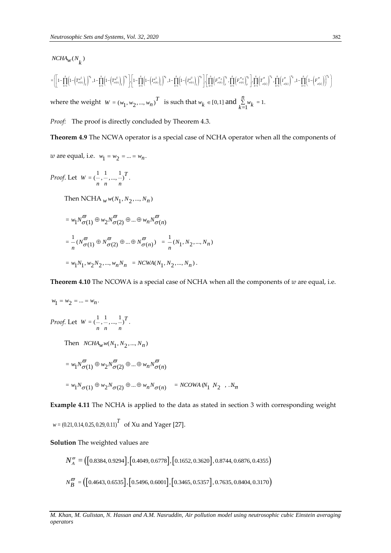$$
\begin{split} &NCHA_{W}(N_{k})\\ =&\left(\left[1-\prod_{k=1}^{n}\left(1-\left(T_{\sigma(k)}^{\sigma^{L}}\right)_{r}\right)^{w_{k}},1-\prod_{k=1}^{n}\left(1-\left(T_{\sigma(k)}^{\sigma^{U}}\right)_{r}\right)^{w_{k}}\right]\cdot\left[1-\prod_{k=1}^{n}\left(1-\left(T_{\sigma(k)}^{\sigma^{L}}\right)_{l}\right)^{w_{k}},1-\prod_{k=1}^{n}\left(1-\left(T_{\sigma(k)}^{\sigma^{U}}\right)_{l}\right)^{w_{k}}\right]\cdot\left[\prod_{k=1}^{n}\left(\left[F_{\sigma(k)}^{\sigma^{L}}\right)_{r}^{w_{k}},\prod_{k=1}^{n}\left(F_{\sigma(k)}^{\sigma^{U}}\right)_{k}^{w_{k}}\right]\cdot\prod_{k=1}^{n}\left(T_{\sigma(k)}^{\sigma^{L}}\right)^{w_{k}},1-\prod_{k=1}^{n}\left(1-\left(F_{\sigma(k)}^{\sigma^{L}}\right)_{l}\right)^{w_{k}}\right]\cdot\\ &\text{where the weight}\ \ W=(w_{1},w_{2},...,w_{n})^{T}\quad\text{is such that}\ w_{k}\in[0,1]\ \text{and}\ \sum_{k=1}^{n}w_{k}=1. \end{split}
$$

*Proof:* The proof is directly concluded by Theorem 4.3.

**Theorem 4.9** The NCWA operator is a special case of NCHA operator when all the components of

*w* are equal, i.e.  $w_1 = w_2 = ... = w_n$ .

*Proof*. Let  $W = \begin{pmatrix} 1 & 1 \\ -1 & -1 \end{pmatrix}$ *n n n*  $\text{Then } \text{NCHA}_{W} w(N_1, N_2, ..., N_n)$  $= w_1 N_{\sigma(1)}^{\omega} \oplus w_2 N_{\sigma(2)}^{\omega} \oplus ... \oplus w_n N_{\sigma(n)}^{\omega}$  $\tilde{\sigma}$ (1)  $\oplus w_2 N \tilde{\sigma}$ (2)  $\oplus ... \oplus w_n N \tilde{\sigma}$  $=\frac{1}{n}(N_{\sigma(1)}^{\overline{\omega}}\oplus N_{\sigma(2)}^{\overline{\omega}}\oplus...\oplus N_{\sigma(n)}^{\overline{\omega}})$  $\overline{\omega}$  .  $\overline{\omega}$  .  $\overline{\omega}$  $\sigma(\pi) \oplus N^{\overline{\omega}}_{\sigma(2)} \oplus ... \oplus N^{\overline{\omega}}_{\sigma(n)}) = \frac{1}{n}(N_1, N_2, ..., N_n)$  $= w_1 N_1, w_2 N_2, ..., w_n N_n = N C W A(N_1, N_2, ..., N_n).$ 

**Theorem 4.10** The NCOWA is a special case of NCHA when all the components of *w* are equal, i.e.

$$
NCHA_{W}(N_{k})
$$
\n
$$
= \left[1-\prod_{i=1}^{n} \left[1-\left(\frac{r_{\infty}^{+}}{r_{\infty}}\right)\right]^{2}\cdot 1-\prod_{i=1}^{n} \left[1-\left(\frac{r_{\infty}^{+}}{r_{\infty}}\right)\right]^{2}\right] \cdot \left[1-\prod_{i=1}^{n} \left[1-\left(\frac{r_{\infty}^{+}}{r_{\infty}}\right)\right]^{2}\right] \cdot 1-\prod_{i=1}^{n} \left[1-\left(\frac{r_{\infty}^{+}}{r_{\infty}}\right)\right]^{2}\cdot \prod_{i=1}^{n} \left[\left(\frac{r_{\infty}^{+}}{r_{\infty}}\right)\right]^{2}\cdot \prod_{i=1}^{n} \left[\left(\frac{r_{\infty}^{+}}{r_{\infty}}\right)\right]^{2}\cdot \prod_{i=1}^{n} \left[\left(\frac{r_{\infty}^{+}}{r_{\infty}}\right)\right]^{2}\cdot \prod_{i=1}^{n} \left[\left(\frac{r_{\infty}^{+}}{r_{\infty}}\right)\right]^{2}\cdot \prod_{i=1}^{n} \left[\left(\frac{r_{\infty}^{+}}{r_{\infty}}\right)\right]^{2}\cdot \prod_{i=1}^{n} \left[\left(\frac{r_{\infty}^{+}}{r_{\infty}}\right)\right]^{2}\cdot \prod_{i=1}^{n} \left[\left(\frac{r_{\infty}^{+}}{r_{\infty}}\right)\right]^{2}\cdot \prod_{i=1}^{n} \left[\left(\frac{r_{\infty}^{+}}{r_{\infty}}\right)\right]^{2}\cdot \prod_{i=1}^{n} \left[\left(\frac{r_{\infty}^{+}}{r_{\infty}}\right)\right]^{2}\cdot \prod_{i=1}^{n} \left[\left(\frac{r_{\infty}^{+}}{r_{\infty}}\right)\right]^{2}\cdot \prod_{i=1}^{n} \left[\left(\frac{r_{\infty}^{+}}{r_{\infty}}\right)\right]^{2}\cdot \prod_{i=1}^{n} \left[\left(\frac{r_{\infty}^{+}}{r_{\infty}}\right)\right]^{2}\cdot \prod_{i=1}^{n} \left[\left(\frac{r_{\infty}^{+}}{r_{\infty}}\right)\right]^{2
$$

**Example 4.11** The NCHA is applied to the data as stated in section 3 with corresponding weight

 $w = (0.21, 0.14, 0.25, 0.29, 0.11)^T$  of Xu and Yager [27].

**Solution** The weighted values are

$$
N_A^{\varpi} = \left( \left[ 0.8384, 0.9294 \right], \left[ 0.4049, 0.6778 \right], \left[ 0.1652, 0.3620 \right], 0.8744, 0.6876, 0.4355 \right)
$$
  

$$
N_B^{\varpi} = \left( \left[ 0.4643, 0.6535 \right], \left[ 0.5496, 0.6001 \right], \left[ 0.3465, 0.5357 \right], 0.7635, 0.8404, 0.3170 \right)
$$

*M. Khan, M. Gulistan, N. Hassan and A.M. Nasruddin, Air pollution model using neutrosophic cubic Einstein averaging*  operators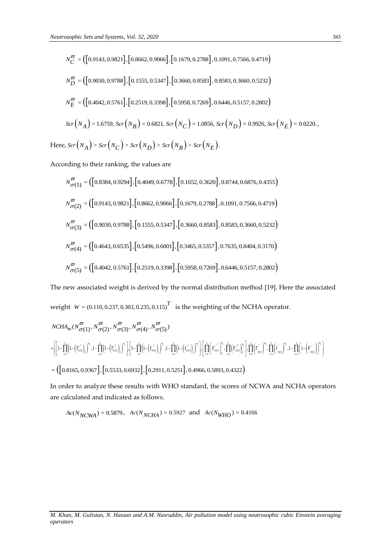$$
N_C^{\sigma} = ([0.9143, 0.9821], [0.8662, 0.9066], [0.1679, 0.2788], 0.1091, 0.7566, 0.4719)
$$
\n
$$
N_D^{\sigma} = ([0.9030, 0.9788], [0.1555, 0.5347], [0.3660, 0.8583], 0.8583, 0.3660, 0.5232)
$$
\n
$$
N_E^{\sigma} = ([0.4042, 0.5761], [0.2519, 0.3398], [0.5958, 0.7269], 0.6446, 0.5157, 0.2802)
$$
\n
$$
S\sigma(N_A) = 1.6759, S\sigma(N_B) = 0.6821, S\sigma r(N_C) = 1.0856, S\sigma r(N_D) = 0.9926, S\sigma r(N_E) = 0.0220.
$$
\nHere,  $S\sigma(N_A) > S\sigma r(N_B) > S\sigma r(N_B) > S\sigma r(N_B)$ .  
\nAccording to their ranking, the values are\n
$$
N_{\sigma(1)}^{\sigma} = ([0.8184, 0.9294], [0.4049, 0.6778], [0.1652, 0.3620], 0.8744, 0.6876, 0.4355)
$$
\n
$$
N_{\sigma(2)}^{\sigma} = ([0.9143, 0.9821], [0.8662, 0.906], [0.1679, 0.2788], 0.1091, 0.7566, 0.4719)
$$
\n
$$
N_{\sigma(3)}^{\sigma} = ([0.443, 0.0531], [0.3556, 0.5347], [0.3600, 0.8583], 0.8813, 0.3660, 0.5232)
$$
\n
$$
N_{\sigma(4)}^{\sigma} = ([0.4643, 0.6535], [0.5496, 0.600], [0.3465, 0.5357], 0.7635, 0.8404, 0.3170
$$

According to their ranking, the values are

$$
N_{\sigma(1)}^{\varpi} = \left( \left[ 0.8384, 0.9294 \right], \left[ 0.4049, 0.6778 \right], \left[ 0.1652, 0.3620 \right], 0.8744, 0.6876, 0.4355 \right)
$$
  
\n
$$
N_{\sigma(2)}^{\varpi} = \left( \left[ 0.9143, 0.9821 \right], \left[ 0.8662, 0.9066 \right], \left[ 0.1679, 0.2788 \right], 0.1091, 0.7566, 0.4719 \right)
$$
  
\n
$$
N_{\sigma(3)}^{\varpi} = \left( \left[ 0.9030, 0.9788 \right], \left[ 0.1555, 0.5347 \right], \left[ 0.3660, 0.8583 \right], 0.8583, 0.3660, 0.5232 \right)
$$
  
\n
$$
N_{\sigma(4)}^{\varpi} = \left( \left[ 0.4643, 0.6535 \right], \left[ 0.5496, 0.6001 \right], \left[ 0.3465, 0.5357 \right], 0.7635, 0.8404, 0.3170 \right)
$$
  
\n
$$
N_{\sigma(5)}^{\varpi} = \left( \left[ 0.4042, 0.5761 \right], \left[ 0.2519, 0.3398 \right], \left[ 0.5958, 0.7269 \right], 0.6446, 0.5157, 0.2802 \right)
$$

The new associated weight is derived by the normal distribution method [19]. Here the associated weight  $W = (0.110, 0.237, 0.303, 0.235, 0.115)^T$  is the weighting of the NCHA operator.

$$
\begin{split} &NCHA_{W}(N_{\sigma(1)}^{\varpi},N_{\sigma(2)}^{\varpi},N_{\sigma(3)}^{\varpi},N_{\sigma(4)}^{\varpi},N_{\sigma(5)}^{\varpi}) \\ =&\Bigg(\Bigg[1-\prod_{i=1}^{5}\Big(1-\Big(T_{\sigma(i)}^{L^{L}}\Big)^{w_{i}},1-\prod_{i=1}^{5}\Big(1-\Big(T_{\sigma(i)}^{L^{L}}\Big)^{w_{i}}\Big)\Bigg,\Big[1-\prod_{i=1}^{5}\Big(1-\Big(T_{\sigma(i)}^{L^{L}}\Big)^{w_{i}},1-\prod_{i=1}^{5}\Big(1-\Big(T_{\sigma(i)}^{L^{L}}\Big)^{w_{i}}\Big)\Bigg],\Bigg[\prod_{i=1}^{5}\Big(T_{\sigma(i)}^{L^{L}}\Big)^{w_{i}},\prod_{i=1}^{5}\Big(T_{\sigma(i)}^{L^{L}}\Big)^{w_{i}}\Bigg],\Bigg[\prod_{i=1}^{5}\Big(T_{\sigma(i)}^{L^{L}}\Big)^{w_{i}},\prod_{i=1}^{5}\Big(T_{\sigma(i)}^{L^{L}}\Big)^{w_{i}},\prod_{i=1}^{5}\Big(T_{\sigma(i)}^{L^{L}}\Big)^{w_{i}},1-\prod_{i=1}^{5}\Big(1-\Big(F_{\sigma(i)}^{L^{L}}\Big)^{w_{i}}\Big)\Bigg],\\ &\Bigg[\Big(0.8165,0.9367\Big],\Big[0.5533,0.6932\Big],\Big[0.2911,0.5251\Big],0.4966,0.5893,0.4322\Big) \end{split}
$$

In order to analyze these results with WHO standard, the scores of NCWA and NCHA operators are calculated and indicated as follows.

$$
Ac(N_{NCWA}) = 0.5879
$$
,  $Ac(N_{NCHA}) = 0.5927$  and  $Ac(N_{WHO}) = 0.4166$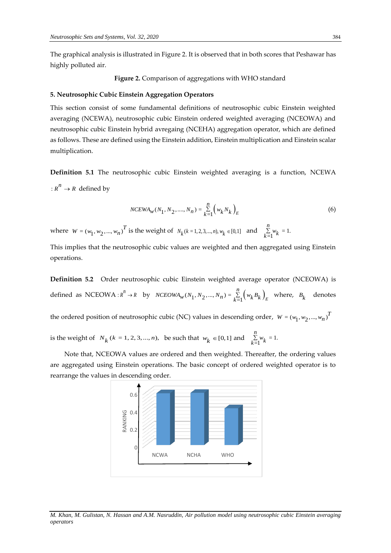The graphical analysis is illustrated in Figure 2. It is observed that in both scores that Peshawar has highly polluted air.

**Figure 2.** Comparison of aggregations with WHO standard

#### **5. Neutrosophic Cubic Einstein Aggregation Operators**

This section consist of some fundamental definitions of neutrosophic cubic Einstein weighted averaging (NCEWA), neutrosophic cubic Einstein ordered weighted averaging (NCEOWA) and neutrosophic cubic Einstein hybrid avregaing (NCEHA) aggregation operator, which are defined as follows. These are defined using the Einstein addition, Einstein multiplication and Einstein scalar multiplication.

**Definition 5.1** The neutrosophic cubic Einstein weighted averaging is a function, NCEWA  $: R^n \to R$  defined by

$$
NCEWA_{w}(N_1, N_2, \dots, N_n) = \sum_{k=1}^{n} \left( w_k N_k \right)_E
$$
 (6)

where  $W = (w_1, w_2, ..., w_n)^T$  is the weight of  $N_k$  ( $k = 1, 2, 3, ..., n$ ),  $w_k \in [0, 1]$  and  $\sum_{k=1}^{n} w_k = 1$ . *n*  $\sum_{k=1}^{n} w_k$ 

This implies that the neutrosophic cubic values are weighted and then aggregated using Einstein operations.

**Definition 5.2** Order neutrosophic cubic Einstein weighted average operator (NCEOWA) is defined as NCEOWA: $R^n \to R$  by  $NCEOWA_w(N_1, N_2, ..., N_n) = \sum_{k=1}^{n} (w_k B_k)_E$  where,  $B_k$  denotes

the ordered position of neutrosophic cubic (NC) values in descending order,  $W = (w_1, w_2, ..., w_n)^T$ 

is the weight of  $N_k$  ( $k = 1, 2, 3, ..., n$ ), be such that  $w_k \in [0, 1]$  and  $\sum_{k=1}^{n} w_k = 1$ . *n*  $\sum_{k=1}^{n} w_k$ 

Note that, NCEOWA values are ordered and then weighted. Thereafter, the ordering values are aggregated using Einstein operations. The basic concept of ordered weighted operator is to rearrange the values in descending order.

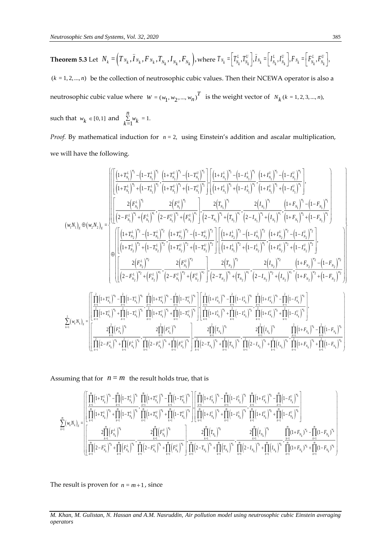such that  $w_k \in [0,1]$  and  $\sum_{k=1}^{n} w_k = 1$ . *n*  $\sum_{k=1}^{N} w_k$ 

*Proof.* By mathematical induction for  $n = 2$ , using Einstein's addition and ascalar multiplication, we will have the following.

$$
\left(\begin{matrix} \left[(1+T_{N_1}^{L})^n\right]^n-\left(1-T_{N_1}^{L}\right)^n\right]\cdot\left[(1+T_{N_1}^{L})^n\right]^n+\left(1-T_{N_1}^{L}\right)^n\cdot\left[(1+T_{N_1}^{L})^n\right]^n+\left(1-T_{N_1}^{L}\right)^n\cdot\left[(1+T_{N_1}^{L})^n\right]^n+\left(1-T_{N_1}^{L}\right)^n\right]\cdot\left[(1+T_{N_1}^{L})^n\right]^n+\left(1-T_{N_1}^{L}\right)^n\cdot\left[(1+T_{N_1}^{L})^n\right]^n+\left(1-T_{N_1}^{L}\right)^n\right]\cdot\left[(1+T_{N_1}^{L})^n\right]^n+\left(1-T_{N_1}^{L}\right)^n\cdot\left[(1+T_{N_1}^{L})^n\right]^n+\left(1-T_{N_1}^{L}\right)^n\right].
$$
\n
$$
\left(\begin{matrix} \frac{2\left(F_{N_1}^{L}\right)^n}{\left(2-F_{N_1}^{L}\right)^n\right]^n+\left(F_{N_1}^{L}\right)^n}{\left(2-F_{N_1}^{L}\right)^n\right]^n+\left(F_{N_1}^{L}\right)^n\right]^n}+\left(2-T_{N_1}^{L}\right)^n\cdot\left[2-T_{N_1}^{L}\right]^n+\left(T_{N_1}^{L}\right)^n\right]^n+\left(T_{N_1}^{L}\right)^n\cdot\left(1+F_{N_1}^{L}\right)^n\right].
$$
\n
$$
\left(\begin{matrix} \frac{2\left(F_{N_1}^{L}\right)^n}{\left(1+T_{N_2}^{L}\right)^n\right]^2-\left(1-T_{N_1}^{L}\right)^n\right]^2-\left(1-T_{N_1}^{L}\right)^n\cdot\left[2-T_{N_1}^{L}\right]^n+\left(T_{N_1}^{L}\right)^n\end{matrix}+\left(T_{N_1}^{L}\right)^n\right]^n+\left(T_{N_1}^{L}\right)^n\cdot\left(1+F_{N_1}^{L}\right)^n\right]^n+\left(T_{N_1}^{L}\right)^n\left[\left(1+F_{N_1}^{L}\right)^n\right]^n+\left(T_{N_1}^{L}\right)^n\right].
$$
\n
$$
\
$$

Assuming that for  $n = m$  the result holds true, that is

$$
\sum_{k=1}^{m} \left( w_{k} N_{k} \right)_{E} = \begin{bmatrix} \left[ \prod_{k=1}^{m} \left(1 + T_{N_{k}}^{L} \right)^{w_{k}} - \prod_{k=1}^{m} \left(1 - T_{N_{k}}^{L} \right)^{w_{k}} & \prod_{k=1}^{m} \left(1 + T_{N_{k}}^{U} \right)^{w_{k}} - \prod_{k=1}^{m} \left(1 - T_{N_{k}}^{U} \right)^{w_{k}} \right] \left[ \prod_{k=1}^{m} \left(1 + T_{N_{k}}^{L} \right)^{w_{k}} - \prod_{k=1}^{m} \left(1 - T_{N_{k}}^{U} \right)^{w_{k}} \right] & \left[ \prod_{k=1}^{m} \left(1 + T_{N_{k}}^{L} \right)^{w_{k}} - \prod_{k=1}^{m} \left(1 - T_{N_{k}}^{U} \right)^{w_{k}} \right] \left[ \prod_{k=1}^{m} \left(1 + T_{N_{k}}^{L} \right)^{w_{k}} + \prod_{k=1}^{m} \left(1 - T_{N_{k}}^{L} \right)^{w_{k}} \right] & \left[ \prod_{k=1}^{m} \left(1 + T_{N_{k}}^{L} \right)^{w_{k}} + \prod_{k=1}^{m} \left(1 - T_{N_{k}}^{L} \right)^{w_{k}} \right] & \left[ \prod_{k=1}^{m} \left(1 + T_{N_{k}}^{L} \right)^{w_{k}} + \prod_{k=1}^{m} \left(1 - T_{N_{k}}^{L} \right)^{w_{k}} \right] \left[ \prod_{k=1}^{m} \left(1 + T_{N_{k}}^{L} \right)^{w_{k}} + \prod_{k=1}^{m} \left(1 - T_{N_{k}}^{L} \right)^{w_{k}} \right] & \left[ \prod_{k=1}^{m} \left(1 + T_{N_{k}}^{L} \right)^{w_{k}} + \prod_{k=1}^{m} \left(1 - T_{N_{k}}^{L} \right)^{w_{k}} \right] & \left[ \prod_{k=1}^{m} \left(1 + T_{N_{k}}^{L} \right)^{w_{k}} + \prod_{k=1}^{m} \left(1 - T_{N_{k}}^{L} \right)^{w_{k}} \right] & \left[ \prod_{k=1}^{m} \left
$$

The result is proven for  $n = m+1$ , since

*M. Khan, M. Gulistan, N. Hassan and A.M. Nasruddin, Air pollution model using neutrosophic cubic Einstein averaging operators*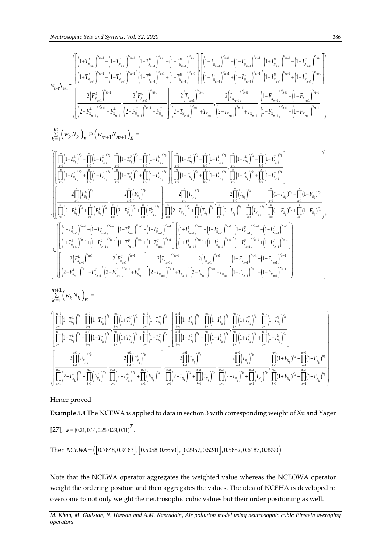$$
w_{m+l}N_{m+l}=\left[\frac{\left[\left(1+T_{N_{m+l}}^{L}\right)^{w_{m+1}}-\left(1-T_{N_{m+l}}^{L}\right)^{w_{m+l}}}{\left(1+T_{N_{m+l}}^{L}\right)^{w_{m+1}}+\left(1-T_{N_{m+l}}^{L}\right)^{w_{m+l}}},\frac{\left(1+T_{N_{m+l}}^{U}\right)^{w_{m+l}}-\left(1-T_{N_{m+l}}^{U}\right)^{w_{m+l}}}{\left(1+T_{N_{m+l}}^{L}\right)^{w_{m+l}}+\left(1-T_{N_{m+l}}^{L}\right)^{w_{m+l}}},\frac{2\left(F_{N_{m+l}}^{U}\right)^{w_{m+l}}}{\left(2-F_{N_{m+l}}^{U}\right)^{w_{m+l}}+\left(2-F_{N_{m+l}}^{U}\right)^{w_{m+l}}}\right],\frac{2\left(T_{N_{m+l}}\right)^{w_{m+l}}}{\left(2-T_{N_{m+l}}\right)^{w_{m+l}}+\left(2-T_{N_{m+l}}^{U}\right)^{w_{m+l}}}\right] = \left[\frac{\left[\left(1+I_{N_{m+l}}^{L}\right)^{w_{m+l}}-\left(1-I_{N_{m+l}}^{L}\right)^{w_{m+l}}-\left(1-I_{N_{m+l}}^{U}\right)^{w_{m+l}}\right]^{w_{m+l}}}{\left[\left(1+I_{N_{m+l}}^{L}\right)^{w_{m+l}}+\left(1-I_{N_{m+l}}^{U}\right)^{w_{m+l}}\right]}\right],\frac{2\left(T_{N_{m+l}}\right)^{w_{m+l}}}{\left(2-T_{N_{m+l}}\right)^{w_{m+l}}+\left(1-K_{N_{m+l}}\right)^{w_{m+l}}+\left(1-F_{N_{m+l}}\right)^{w_{m+l}}}\right] = \left[\frac{\left(1+I_{N_{m+l}}^{L}\right)^{w_{m+l}}-\left(1-I_{N_{m+l}}^{U}\right)^{w_{m+l}}}{\left(2-F_{N_{m+l}}^{L}\right)^{w_{m+l}}+\left(2-F_{N_{m+l}}^{U}\right)^{w_{m+l}}+\left(2-T_{N_{m+l}}^{U}\right)^{w_{m+l}}+\left(1-T_{N_{m+l}}^{U}\right)^{w_{m+l}}+\left(1-F_{N_{m+l}}\right)^{w_{m+l}}}\right]
$$

$$
\sum_{k=1}^{m}\left(w_{k}N_{k}\right)_{E}\oplus\left(w_{m+1}N_{m+1}\right)_{E}=\\ \begin{cases} \left\|\prod_{k=1}^{m}\left(1+T_{\boldsymbol{y}_{k}}^{k}\right)^{v_{k}}-\prod_{k=1}^{m}\left(1-T_{\boldsymbol{y}_{k}}^{k}\right)^{v_{k}}\prod_{k=1}^{m}\left(1+T_{\boldsymbol{y}_{k}}^{k}\right)^{v_{k}}-\prod_{k=1}^{m}\left(1-T_{\boldsymbol{y}_{k}}^{k}\right)^{v_{k}}\right\|\prod_{k=1}^{m}\left(1+I_{\boldsymbol{y}_{k}}^{k}\right)^{v_{k}}-\prod_{k=1}^{m}\left(1-I_{\boldsymbol{y}_{k}}^{k}\right)^{v_{k}}\\ \left\|\prod_{k=1}^{m}\left(1+T_{\boldsymbol{y}_{k}}^{k}\right)^{v_{k}}+\prod_{k=1}^{m}\left(1-T_{\boldsymbol{y}_{k}}^{k}\right)^{v_{k}}\prod_{k=1}^{m}\left(1-T_{\boldsymbol{y}_{k}}^{k}\right)^{v_{k}}\right\|\prod_{k=1}^{m}\left(1+I_{\boldsymbol{y}_{k}}^{k}\right)^{v_{k}}+\prod_{k=1}^{m}\left(1-I_{\boldsymbol{y}_{k}}^{k}\right)^{v_{k}}\\ \left\|\prod_{k=1}^{m}\left(1+I_{\boldsymbol{y}_{k}}^{k}\right)^{v_{k}}+\prod_{k=1}^{m}\left(1-I_{\boldsymbol{y}_{k}}^{k}\right)^{v_{k}}\right\|\prod_{k=1}^{m}\left(1+I_{\boldsymbol{y}_{k}}^{k}\right)^{v_{k}}+\prod_{k=1}^{m}\left(1-I_{\boldsymbol{y}_{k}}^{k}\right)^{v_{k}}\\ \left\|\prod_{k=1}^{m}\left(1+I_{\boldsymbol{y}_{k}}^{k}\right)^{v_{k}}+\prod_{k=1}^{m}\left(1-I_{\boldsymbol{y}_{k}}^{k}\right)^{v_{k}}\cdot\prod_{k=1}^{m}\left(1-I_{\boldsymbol{y}_{k}}^{k}\right)^{v_{k}}\right\|\prod_{k=1}^{m}\left(1-I_{\boldsymbol{y}_{k}}^{k}\right)^{v_{k}}\\ \left\|\prod_{k=1}^{m}\left(1-I_{\boldsymbol{y}_{k}}^{k}\right)^{v_{k}}+\prod_{k=1}^{
$$

$$
\left[\prod_{k=1}^{\frac{m+l}{k}}\left(1+T_{N_{k}}^{L}\right)^{w_{k}}-\prod_{k=1}^{m+l}\left(1-T_{N_{k}}^{L}\right)^{w_{k}}+\prod_{k=1}^{\frac{m+l}{k}}\left(1-T_{N_{k}}^{L}\right)^{w_{k}}\prod_{k=1}^{\frac{m+l}{k}}\left(1-T_{N_{k}}^{L}\right)^{w_{k}}-\prod_{k=1}^{m+l}\left(1-T_{N_{k}}^{L}\right)^{w_{k}}\right]\left[\prod_{k=1}^{\frac{m+l}{k}}\left(1+T_{N_{k}}^{L}\right)^{w_{k}}-\prod_{k=1}^{m+l}\left(1-I_{N_{k}}^{L}\right)^{w_{k}}+\prod_{k=1}^{m+l}\left(1-T_{N_{k}}^{L}\right)^{w_{k}}\prod_{k=1}^{\frac{m+l}{k}}\left(1-T_{N_{k}}^{L}\right)^{w_{k}}\right]\right]\left[\prod_{k=1}^{\frac{m+l}{k}}\left(1+T_{N_{k}}^{L}\right)^{w_{k}}-\prod_{k=1}^{m+l}\left(1-I_{N_{k}}^{L}\right)^{w_{k}}+\prod_{k=1}^{m+l}\left(1-T_{N_{k}}^{L}\right)^{w_{k}}\right]\right]\left[\prod_{k=1}^{\frac{m+l}{k}}\left(1+T_{N_{k}}^{L}\right)^{w_{k}}+\prod_{k=1}^{m+l}\left(1-T_{N_{k}}^{L}\right)^{w_{k}}\prod_{k=1}^{\frac{m+l}{k}}\left(1-T_{N_{k}}^{L}\right)^{w_{k}}+\prod_{k=1}^{m+l}\left(1-I_{N_{k}}^{L}\right)^{w_{k}}\right]\right]\left[\prod_{k=1}^{\frac{m+l}{k}}\left(1+T_{N_{k}}^{L}\right)^{w_{k}}-\prod_{k=1}^{m+l}\left(1-F_{N_{k}}^{L}\right)^{w_{k}}\right]
$$

## Hence proved.

**Example 5.4** The NCEWA is applied to data in section 3 with corresponding weight of Xu and Yager  $[27]$ ,  $w = (0.21, 0.14, 0.25, 0.29, 0.11)^T$ .

[27], 
$$
w = (0.21, 0.14, 0.25, 0.29, 0.11)^4
$$
.  
Then  $NCEWA = ([0.7848, 0.9163], [0.5058, 0.6650], [0.2957, 0.5241], 0.5652, 0.6187, 0.3990)$ 

Note that the NCEWA operator aggregates the weighted value whereas the NCEOWA operator weight the ordering position and then aggregates the values. The idea of NCEHA is developed to overcome to not only weight the neutrosophic cubic values but their order positioning as well.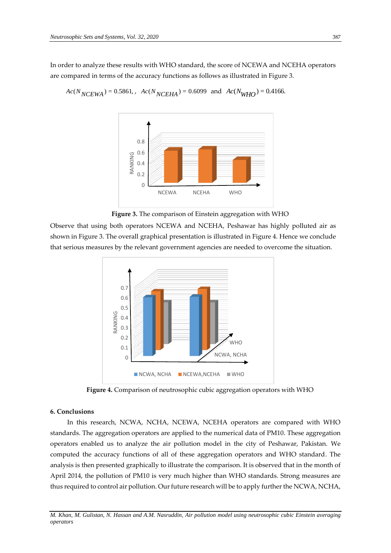In order to analyze these results with WHO standard, the score of NCEWA and NCEHA operators are compared in terms of the accuracy functions as follows as illustrated in Figure 3.

$$
Ac(N_{NCEWA}) = 0.5861
$$
,  $Ac(N_{NCEHA}) = 0.6099$  and  $Ac(N_{WHO}) = 0.4166$ .



**Figure 3.** The comparison of Einstein aggregation with WHO

Observe that using both operators NCEWA and NCEHA, Peshawar has highly polluted air as shown in Figure 3. The overall graphical presentation is illustrated in Figure 4. Hence we conclude that serious measures by the relevant government agencies are needed to overcome the situation.



**Figure 4.** Comparison of neutrosophic cubic aggregation operators with WHO

#### **6. Conclusions**

In this research, NCWA, NCHA, NCEWA, NCEHA operators are compared with WHO standards. The aggregation operators are applied to the numerical data of PM10. These aggregation operators enabled us to analyze the air pollution model in the city of Peshawar, Pakistan. We computed the accuracy functions of all of these aggregation operators and WHO standard. The analysis is then presented graphically to illustrate the comparison. It is observed that in the month of April 2014, the pollution of PM10 is very much higher than WHO standards. Strong measures are thus required to control air pollution. Our future research will be to apply further the NCWA, NCHA,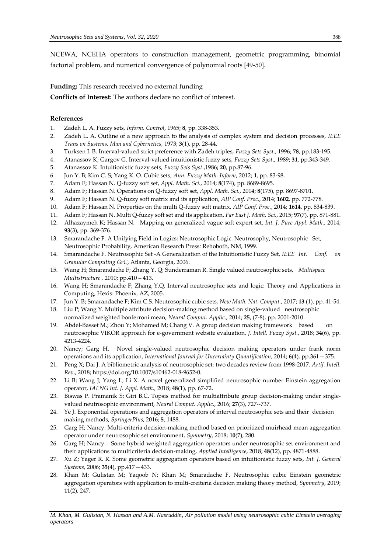NCEWA, NCEHA operators to construction management, geometric programming, binomial factorial problem, and numerical convergence of polynomial roots [49-50].

# **Funding:** This research received no external funding

**Conflicts of Interest:** The authors declare no conflict of interest.

# **References**

- 1. Zadeh L. A. Fuzzy sets, *Inform. Control*, 1965; **8**, pp. 338-353.
- 2. Zadeh L. A. Outline of a new approach to the analysis of complex system and decision processes, *IEEE Trans on Systems, Man and Cybernetics*, 1973; **3**(1), pp. 28-44.
- 3. Turksen I. B. Interval-valued strict preference with Zadeh triples, *Fuzzy Sets Syst.*, 1996; **78**, pp.183-195.
- 4. Atanassov K; Gargov G. Interval-valued intuitionistic fuzzy sets, *Fuzzy Sets Syst*., 1989; **31**, pp.343-349.
- 5. Atanassov K. Intuitionistic fuzzy sets, *Fuzzy Sets Syst*.,1986**; 20**, pp.87-96.
- 6. Jun Y. B; Kim C. S; Yang K. O. Cubic sets, *Ann. Fuzzy Math. Inform*, 2012; **1**, pp. 83-98.
- 7. Adam F; Hassan N. Q-fuzzy soft set, *Appl. Math. Sci.*, 2014; **8**(174), pp. 8689-8695.
- 8. Adam F; Hassan N. Operations on Q-fuzzy soft set, *Appl. Math. Sci.*, 2014; **8**(175), pp. 8697-8701.
- 9. Adam F; Hassan N. Q-fuzzy soft matrix and its application, *AIP Conf. Proc.*, 2014; **1602**, pp. 772-778.
- 10. Adam F; Hassan N. Properties on the multi Q-fuzzy soft matrix, *AIP Conf. Proc.*, 2014; **1614**, pp. 834-839.
- 11. Adam F; Hassan N. Multi Q-fuzzy soft set and its application, *Far East J. Math. Sci.*, 2015; **97**(7), pp. 871-881.
- 12. Alhazaymeh K; Hassan N. Mapping on generalized vague soft expert set, *Int. J. Pure Appl. Math.*, 2014; **93**(3), pp. 369-376.
- 13. Smarandache F. A Unifying Field in Logics: Neutrosophic Logic. Neutrosophy, Neutrosophic Set, Neutrosophic Probability, American Research Press*:* Rehoboth, NM, 1999.
- 14. Smarandache F. Neutrosophic Set -A Generalization of the Intuitionistic Fuzzy Set, *IEEE Int. Conf. on Granular Computing GrC*, Atlanta, Georgia, 2006.
- 15. Wang H; Smarandache F; Zhang Y. Q; Sunderraman R. Single valued neutrosophic sets, *Multispace Multistructure ,* 2010; pp.410 – 413.
- 16. Wang H; Smarandache F; Zhang Y.Q. Interval neutrosophic sets and logic: Theory and Applications in Computing, Hexis: Phoenix, AZ, 2005.
- 17. Jun Y. B; Smarandache F; Kim C.S. Neutrosophic cubic sets, *New Math. Nat. Comput.*, 2017; **13** (1), pp. 41-54.
- 18. Liu P; Wang Y. Multiple attribute decision-making method based on single-valued neutrosophic normalized weighted bonferroni mean, *Neural Comput. Applic.*, 2014; **25**, (7-8), pp. 2001-2010.
- 19. Abdel-Basset M.; Zhou Y; Mohamed M; Chang V. A group decision making framework based on neutrosophic VIKOR approach for e-government website evaluation, *J. Intell. Fuzzy Syst.*, 2018; **34**(6), pp. 4213-4224.
- 20. Nancy; Garg H. Novel single-valued neutrosophic decision making operators under frank norm operations and its application, *International Journal for Uncertainty Quantification,* 2014; **6**(4), pp.361—375.
- 21. Peng X; Dai J. A bibliometric analysis of neutrosophic set: two decades review from 1998-2017. *Artif. Intell. Rev*., 2018; https://doi.org/10.1007/s10462-018-9652-0.
- 22. Li B; Wang J; Yang L; Li X. A novel generalized simplified neutrosophic number Einstein aggregation operator, *IAENG Int. J. Appl. Math.,* 2018; **48**(1), pp. 67-72.
- 23. Biswas P. Pramanik S; Giri B.C. Topsis method for multiattribute group decision-making under singlevalued neutrosophic environment, *Neural Comput. Applic.*, 2016; **27**(3), 727--737.
- 24. Ye J. Exponential operations and aggregation operators of interval neutrosophic sets and their decision making methods, *SpringerPlus*, 2016; **5**, 1488.
- 25. Garg H; Nancy. Multi-criteria decision-making method based on prioritized muirhead mean aggregation operator under neutrosophic set environment, *Symmetry*, 2018; **10**(7), 280.
- 26. Garg H; Nancy. Some hybrid weighted aggregation operators under neutrosophic set environment and their applications to multicriteria decision-making, *Applied Intelligence*, 2018; **48**(12), pp. 4871-4888.
- 27. Xu Z; Yager R. R. Some geometric aggregation operators based on intuitionistic fuzzy sets, *Int. J. General Systems*, 2006; **35**(4), pp.417—433.
- 28. Khan M; Gulistan M; Yaqoob N; Khan M; Smaradache F. Neutrosophic cubic Einstein geometric aggregation operators with application to multi-creiteria decision making theory method, *Symmetry*, 2019; **11**(2), 247.